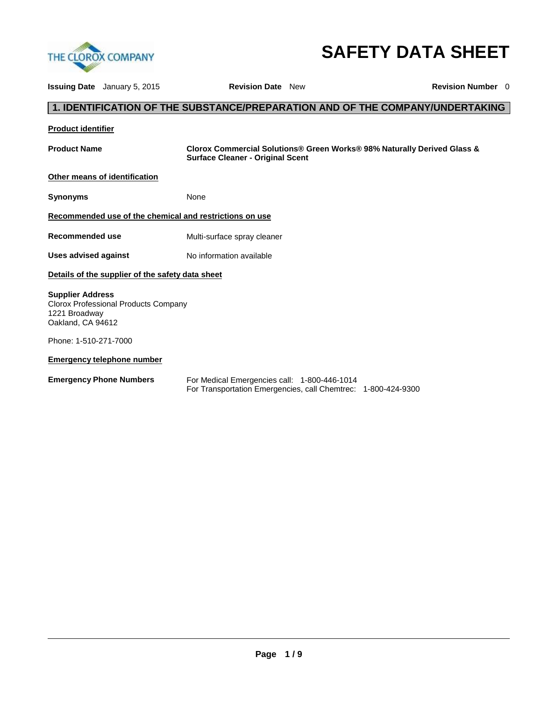

# **SAFETY DATA SHEET**

**Issuing Date** January 5, 2015 **Revision Date** New **Revision Number** 0 **1. IDENTIFICATION OF THE SUBSTANCE/PREPARATION AND OF THE COMPANY/UNDERTAKING Product identifier Product Name Clorox Commercial Solutions® Green Works® 98% Naturally Derived Glass & Surface Cleaner - Original Scent Other means of identification Synonyms** None **Recommended use of the chemical and restrictions on use Recommended use <b>Multi-surface spray cleaner** Uses advised against **No information available Details of the supplier of the safety data sheet Supplier Address** Clorox Professional Products Company 1221 Broadway Oakland, CA 94612 Phone: 1-510-271-7000 **Emergency telephone number Emergency Phone Numbers** For Medical Emergencies call: 1-800-446-1014 For Transportation Emergencies, call Chemtrec: 1-800-424-9300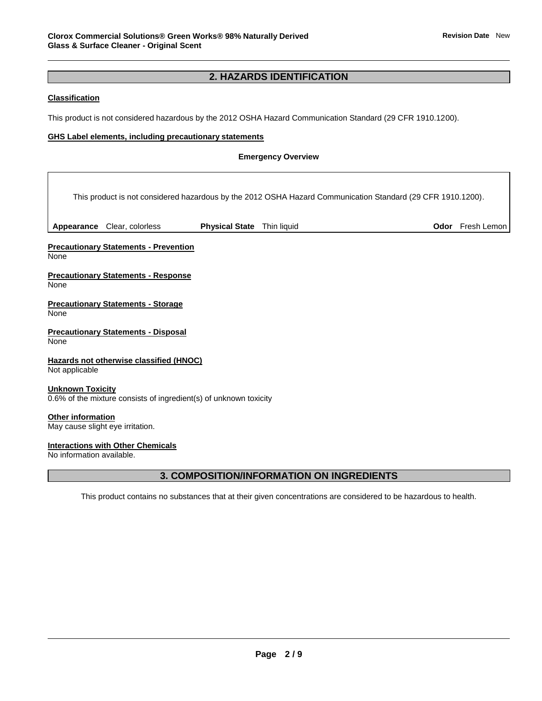## **2. HAZARDS IDENTIFICATION**

### **Classification**

This product is not considered hazardous by the 2012 OSHA Hazard Communication Standard (29 CFR 1910.1200).

### **GHS Label elements, including precautionary statements**

#### **Emergency Overview**

|                           |                                                                   |                                   | This product is not considered hazardous by the 2012 OSHA Hazard Communication Standard (29 CFR 1910.1200). |                  |
|---------------------------|-------------------------------------------------------------------|-----------------------------------|-------------------------------------------------------------------------------------------------------------|------------------|
|                           | Appearance Clear, colorless                                       | <b>Physical State</b> Thin liquid |                                                                                                             | Odor Fresh Lemon |
| None                      | <b>Precautionary Statements - Prevention</b>                      |                                   |                                                                                                             |                  |
| None                      | <b>Precautionary Statements - Response</b>                        |                                   |                                                                                                             |                  |
| None                      | <b>Precautionary Statements - Storage</b>                         |                                   |                                                                                                             |                  |
| None                      | <b>Precautionary Statements - Disposal</b>                        |                                   |                                                                                                             |                  |
| Not applicable            | Hazards not otherwise classified (HNOC)                           |                                   |                                                                                                             |                  |
| <b>Unknown Toxicity</b>   | 0.6% of the mixture consists of ingredient(s) of unknown toxicity |                                   |                                                                                                             |                  |
| Other information         | May cause slight eye irritation.                                  |                                   |                                                                                                             |                  |
| No information available. | <b>Interactions with Other Chemicals</b>                          |                                   |                                                                                                             |                  |

### **3. COMPOSITION/INFORMATION ON INGREDIENTS**

This product contains no substances that at their given concentrations are considered to be hazardous to health.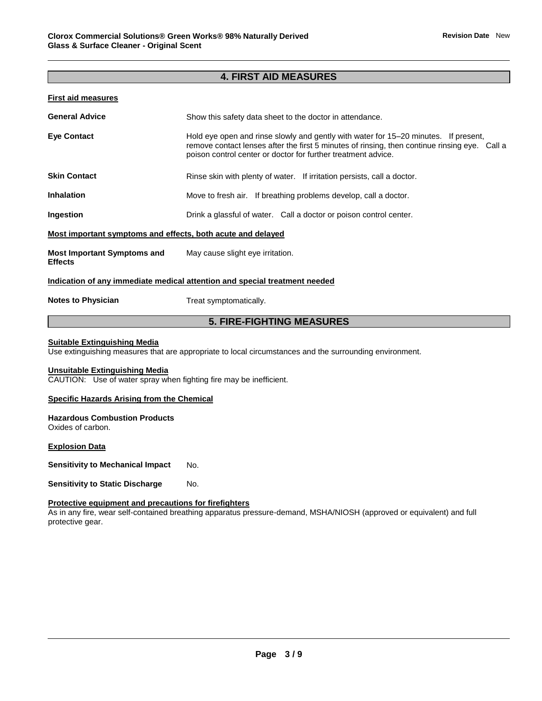### **4. FIRST AID MEASURES**

#### **First aid measures**

| <b>General Advice</b>                                       | Show this safety data sheet to the doctor in attendance.                                                                                                                                                                                              |
|-------------------------------------------------------------|-------------------------------------------------------------------------------------------------------------------------------------------------------------------------------------------------------------------------------------------------------|
| <b>Eye Contact</b>                                          | Hold eye open and rinse slowly and gently with water for 15–20 minutes. If present,<br>remove contact lenses after the first 5 minutes of rinsing, then continue rinsing eye. Call a<br>poison control center or doctor for further treatment advice. |
| <b>Skin Contact</b>                                         | Rinse skin with plenty of water. If irritation persists, call a doctor.                                                                                                                                                                               |
| <b>Inhalation</b>                                           | Move to fresh air. If breathing problems develop, call a doctor.                                                                                                                                                                                      |
| Ingestion                                                   | Drink a glassful of water. Call a doctor or poison control center.                                                                                                                                                                                    |
| Most important symptoms and effects, both acute and delayed |                                                                                                                                                                                                                                                       |
| <b>Most Important Symptoms and</b><br><b>Effects</b>        | May cause slight eye irritation.                                                                                                                                                                                                                      |
|                                                             | Indication of any immediate medical attention and special treatment needed                                                                                                                                                                            |
| <b>Notes to Physician</b>                                   | Treat symptomatically.                                                                                                                                                                                                                                |

### **5. FIRE-FIGHTING MEASURES**

#### **Suitable Extinguishing Media**

Use extinguishing measures that are appropriate to local circumstances and the surrounding environment.

#### **Unsuitable Extinguishing Media**

CAUTION: Use of water spray when fighting fire may be inefficient.

#### **Specific Hazards Arising from the Chemical**

### **Hazardous Combustion Products**

Oxides of carbon.

#### **Explosion Data**

**Sensitivity to Mechanical Impact No.** 

**Sensitivity to Static Discharge Mo.** 

#### **Protective equipment and precautions for firefighters**

As in any fire, wear self-contained breathing apparatus pressure-demand, MSHA/NIOSH (approved or equivalent) and full protective gear.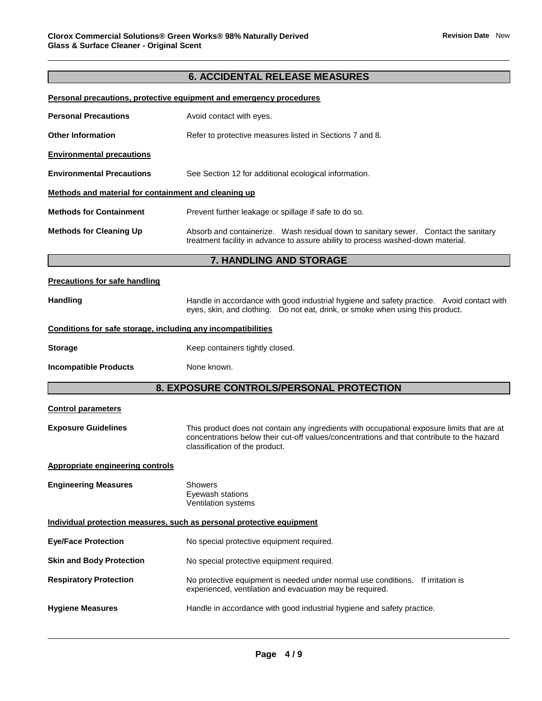### **6. ACCIDENTAL RELEASE MEASURES**

### **Personal precautions, protective equipment and emergency procedures**

| <b>Personal Precautions</b>                                  | Avoid contact with eyes.                                                                                                                                                                                                    |  |  |
|--------------------------------------------------------------|-----------------------------------------------------------------------------------------------------------------------------------------------------------------------------------------------------------------------------|--|--|
| <b>Other Information</b>                                     | Refer to protective measures listed in Sections 7 and 8.                                                                                                                                                                    |  |  |
| <b>Environmental precautions</b>                             |                                                                                                                                                                                                                             |  |  |
| <b>Environmental Precautions</b>                             | See Section 12 for additional ecological information.                                                                                                                                                                       |  |  |
| Methods and material for containment and cleaning up         |                                                                                                                                                                                                                             |  |  |
| <b>Methods for Containment</b>                               | Prevent further leakage or spillage if safe to do so.                                                                                                                                                                       |  |  |
| <b>Methods for Cleaning Up</b>                               | Absorb and containerize. Wash residual down to sanitary sewer. Contact the sanitary<br>treatment facility in advance to assure ability to process washed-down material.                                                     |  |  |
|                                                              | 7. HANDLING AND STORAGE                                                                                                                                                                                                     |  |  |
| <b>Precautions for safe handling</b>                         |                                                                                                                                                                                                                             |  |  |
| <b>Handling</b>                                              | Handle in accordance with good industrial hygiene and safety practice. Avoid contact with<br>eyes, skin, and clothing. Do not eat, drink, or smoke when using this product.                                                 |  |  |
| Conditions for safe storage, including any incompatibilities |                                                                                                                                                                                                                             |  |  |
| <b>Storage</b>                                               | Keep containers tightly closed.                                                                                                                                                                                             |  |  |
| <b>Incompatible Products</b>                                 | None known.                                                                                                                                                                                                                 |  |  |
|                                                              | 8. EXPOSURE CONTROLS/PERSONAL PROTECTION                                                                                                                                                                                    |  |  |
| <b>Control parameters</b>                                    |                                                                                                                                                                                                                             |  |  |
| <b>Exposure Guidelines</b>                                   | This product does not contain any ingredients with occupational exposure limits that are at<br>concentrations below their cut-off values/concentrations and that contribute to the hazard<br>classification of the product. |  |  |
| <b>Appropriate engineering controls</b>                      |                                                                                                                                                                                                                             |  |  |
| <b>Engineering Measures</b>                                  | <b>Showers</b><br>Eyewash stations<br>Ventilation systems                                                                                                                                                                   |  |  |
|                                                              | Individual protection measures, such as personal protective equipment                                                                                                                                                       |  |  |
| <b>Eye/Face Protection</b>                                   | No special protective equipment required.                                                                                                                                                                                   |  |  |
| <b>Skin and Body Protection</b>                              | No special protective equipment required.                                                                                                                                                                                   |  |  |
| <b>Respiratory Protection</b>                                | No protective equipment is needed under normal use conditions. If irritation is<br>experienced, ventilation and evacuation may be required.                                                                                 |  |  |
| <b>Hygiene Measures</b>                                      | Handle in accordance with good industrial hygiene and safety practice.                                                                                                                                                      |  |  |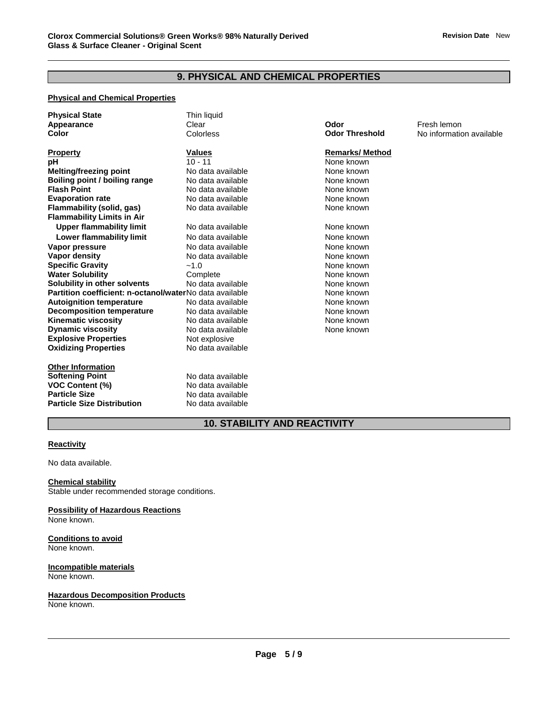### **9. PHYSICAL AND CHEMICAL PROPERTIES**

#### **Physical and Chemical Properties**

| <b>Physical State</b>                                   | Thin liquid       |                       |              |
|---------------------------------------------------------|-------------------|-----------------------|--------------|
| Appearance                                              | Clear             | Odor                  | Fresh lemon  |
| Color                                                   | Colorless         | <b>Odor Threshold</b> | No informati |
| <b>Property</b>                                         | <b>Values</b>     | <b>Remarks/Method</b> |              |
| рH                                                      | $10 - 11$         | None known            |              |
| <b>Melting/freezing point</b>                           | No data available | None known            |              |
| Boiling point / boiling range                           | No data available | None known            |              |
| <b>Flash Point</b>                                      | No data available | None known            |              |
| <b>Evaporation rate</b>                                 | No data available | None known            |              |
| Flammability (solid, gas)                               | No data available | None known            |              |
| <b>Flammability Limits in Air</b>                       |                   |                       |              |
| <b>Upper flammability limit</b>                         | No data available | None known            |              |
| Lower flammability limit                                | No data available | None known            |              |
| Vapor pressure                                          | No data available | None known            |              |
| Vapor density                                           | No data available | None known            |              |
| <b>Specific Gravity</b>                                 | $-1.0$            | None known            |              |
| <b>Water Solubility</b>                                 | Complete          | None known            |              |
| Solubility in other solvents                            | No data available | None known            |              |
| Partition coefficient: n-octanol/waterNo data available |                   | None known            |              |
| <b>Autoignition temperature</b>                         | No data available | None known            |              |
| <b>Decomposition temperature</b>                        | No data available | None known            |              |
| <b>Kinematic viscosity</b>                              | No data available | None known            |              |
| <b>Dynamic viscosity</b>                                | No data available | None known            |              |
| <b>Explosive Properties</b>                             | Not explosive     |                       |              |
| <b>Oxidizing Properties</b>                             | No data available |                       |              |
| <b>Other Information</b>                                |                   |                       |              |
|                                                         |                   |                       |              |

**Softening Point No data available VOC Content (%)** No data available **Particle Size Distribution** No data available

**Particle Size** No data available

### **Remarks/ Method**

**Odor Threshold No information available** 

### **10. STABILITY AND REACTIVITY**

#### **Reactivity**

No data available.

#### **Chemical stability**

Stable under recommended storage conditions.

**Possibility of Hazardous Reactions** None known.

#### **Conditions to avoid** None known.

#### **Incompatible materials** None known.

#### **Hazardous Decomposition Products**

None known.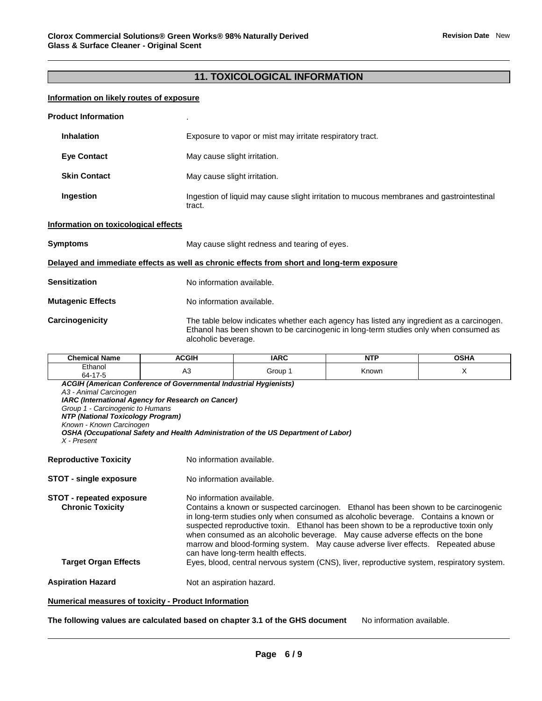### **11. TOXICOLOGICAL INFORMATION**

#### **Information on likely routes of exposure**

| <b>Product Information</b>           |                                                                                                                                                                                                         |
|--------------------------------------|---------------------------------------------------------------------------------------------------------------------------------------------------------------------------------------------------------|
| <b>Inhalation</b>                    | Exposure to vapor or mist may irritate respiratory tract.                                                                                                                                               |
| <b>Eye Contact</b>                   | May cause slight irritation.                                                                                                                                                                            |
| <b>Skin Contact</b>                  | May cause slight irritation.                                                                                                                                                                            |
| Ingestion                            | Ingestion of liquid may cause slight irritation to mucous membranes and gastrointestinal<br>tract.                                                                                                      |
| Information on toxicological effects |                                                                                                                                                                                                         |
| <b>Symptoms</b>                      | May cause slight redness and tearing of eyes.                                                                                                                                                           |
|                                      | Delayed and immediate effects as well as chronic effects from short and long-term exposure                                                                                                              |
| <b>Sensitization</b>                 | No information available.                                                                                                                                                                               |
| <b>Mutagenic Effects</b>             | No information available.                                                                                                                                                                               |
| Carcinogenicity                      | The table below indicates whether each agency has listed any ingredient as a carcinogen.<br>Ethanol has been shown to be carcinogenic in long-term studies only when consumed as<br>alcoholic beverage. |

| ' Name<br>Chemical              | <b>ACGIH</b> | <b>IARC</b> | <b>NTP</b><br>. | <b>OCUA</b> |
|---------------------------------|--------------|-------------|-----------------|-------------|
| Ethanol<br>$\rightarrow$<br>64- | ่∩∪          | Group       | Known           |             |

*ACGIH (American Conference of Governmental Industrial Hygienists) A3 - Animal Carcinogen IARC (International Agency for Research on Cancer) Group 1 - Carcinogenic to Humans NTP (National Toxicology Program) Known - Known Carcinogen OSHA (Occupational Safety and Health Administration of the US Department of Labor) X - Present*  **Reproductive Toxicity No information available.** 

**STOT - single exposure** No information available.

**STOT - repeated exposure** No information available. **Chronic Toxicity** Contains a known or suspected carcinogen. Ethanol has been shown to be carcinogenic in long-term studies only when consumed as alcoholic beverage. Contains a known or suspected reproductive toxin. Ethanol has been shown to be a reproductive toxin only when consumed as an alcoholic beverage. May cause adverse effects on the bone marrow and blood-forming system. May cause adverse liver effects. Repeated abuse can have long-term health effects. **Target Organ Effects** Eyes, blood, central nervous system (CNS), liver, reproductive system, respiratory system.

**Aspiration Hazard Not an aspiration hazard.** 

#### **Numerical measures of toxicity - Product Information**

**The following values are calculated based on chapter 3.1 of the GHS document** No information available.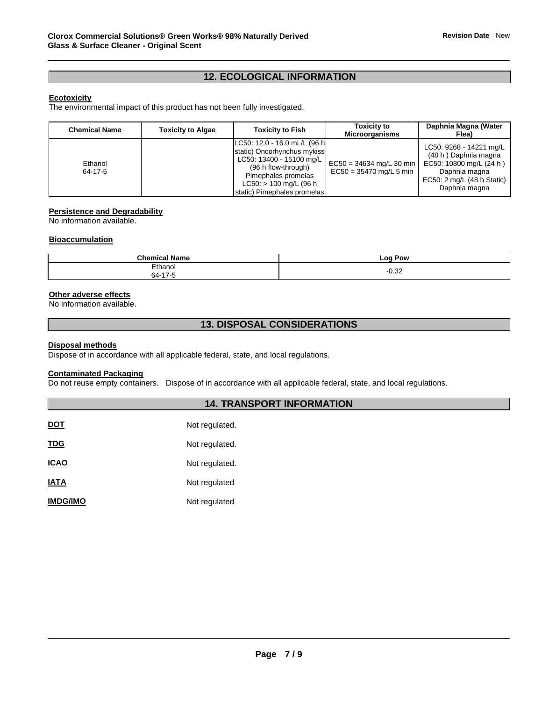### **12. ECOLOGICAL INFORMATION**

#### **Ecotoxicity**

The environmental impact of this product has not been fully investigated.

| <b>Chemical Name</b> | <b>Toxicity to Algae</b> | <b>Toxicity to Fish</b>                                                                                                                                                                           | <b>Toxicity to</b><br><b>Microorganisms</b>             | Daphnia Magna (Water<br>Flea)                                                                                                              |
|----------------------|--------------------------|---------------------------------------------------------------------------------------------------------------------------------------------------------------------------------------------------|---------------------------------------------------------|--------------------------------------------------------------------------------------------------------------------------------------------|
| Ethanol<br>64-17-5   |                          | LC50: 12.0 - 16.0 mL/L (96 h<br>static) Oncorhynchus mykiss<br>LC50: 13400 - 15100 mg/L<br>(96 h flow-through)<br>Pimephales promelas<br>$LC50:$ > 100 mg/L (96 h)<br>static) Pimephales promelas | $EC50 = 34634$ mg/L 30 min<br>$EC50 = 35470$ mg/L 5 min | LC50: 9268 - 14221 mg/L<br>(48 h) Daphnia magna<br>EC50: 10800 mg/L (24 h)<br>Daphnia magna<br>EC50: 2 mg/L (48 h Static)<br>Daphnia magna |

#### **Persistence and Degradability**

No information available.

#### **Bioaccumulation**

| <b>Chamis</b>                              | . Pow               |
|--------------------------------------------|---------------------|
| .                                          | 0C                  |
| Name                                       | --                  |
| ∟thanol<br>$\overline{\phantom{a}}$<br>nд- | റ ാറ<br>--<br>∙∪.J∠ |

#### **Other adverse effects**

No information available.

### **13. DISPOSAL CONSIDERATIONS**

#### **Disposal methods**

Dispose of in accordance with all applicable federal, state, and local regulations.

### **Contaminated Packaging**

Do not reuse empty containers. Dispose of in accordance with all applicable federal, state, and local regulations.

### **14. TRANSPORT INFORMATION**

| Not regulated. |
|----------------|
| Not regulated. |
| Not regulated. |
| Not regulated  |
| Not regulated  |
|                |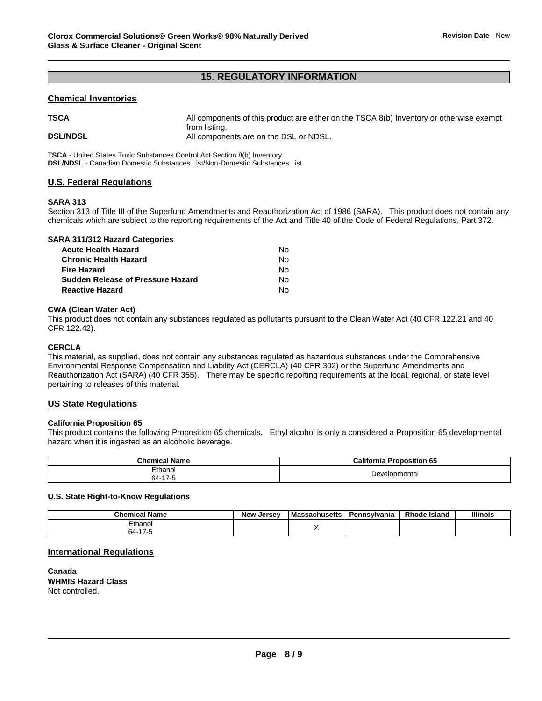### **15. REGULATORY INFORMATION**

#### **Chemical Inventories**

**TSCA** All components of this product are either on the TSCA 8(b) Inventory or otherwise exempt

from listing. **DSL/NDSL All components are on the DSL or NDSL.** 

**TSCA** - United States Toxic Substances Control Act Section 8(b) Inventory **DSL/NDSL** - Canadian Domestic Substances List/Non-Domestic Substances List

### **U.S. Federal Regulations**

#### **SARA 313**

Section 313 of Title III of the Superfund Amendments and Reauthorization Act of 1986 (SARA). This product does not contain any chemicals which are subject to the reporting requirements of the Act and Title 40 of the Code of Federal Regulations, Part 372.

|  |  | <b>SARA 311/312 Hazard Categories</b> |
|--|--|---------------------------------------|
|--|--|---------------------------------------|

| Acute Health Hazard               | N٥ |
|-----------------------------------|----|
| Chronic Health Hazard             | N٥ |
| Fire Hazard                       | N٥ |
| Sudden Release of Pressure Hazard | N٥ |
| Reactive Hazard                   | N٥ |

#### **CWA (Clean Water Act)**

This product does not contain any substances regulated as pollutants pursuant to the Clean Water Act (40 CFR 122.21 and 40 CFR 122.42).

#### **CERCLA**

This material, as supplied, does not contain any substances regulated as hazardous substances under the Comprehensive Environmental Response Compensation and Liability Act (CERCLA) (40 CFR 302) or the Superfund Amendments and Reauthorization Act (SARA) (40 CFR 355). There may be specific reporting requirements at the local, regional, or state level pertaining to releases of this material.

#### **US State Regulations**

#### **California Proposition 65**

This product contains the following Proposition 65 chemicals. Ethyl alcohol is only a considered a Proposition 65 developmental hazard when it is ingested as an alcoholic beverage.

| <b>Chemical Name</b> | Proposition 65<br>Califori<br><br>nıa |
|----------------------|---------------------------------------|
| Ethanol<br>$64-17$   | Developmental                         |

#### **U.S. State Right-to-Know Regulations**

| <b>Chemical Name</b> | New<br>. Jersev | <b>Massachusetts</b> | Pennsvlvania | <b>Rhode Island</b> | <b>Illinois</b> |
|----------------------|-----------------|----------------------|--------------|---------------------|-----------------|
| Ethanol              |                 |                      |              |                     |                 |
| า4-                  |                 |                      |              |                     |                 |

#### **International Regulations**

**Canada WHMIS Hazard Class** Not controlled.